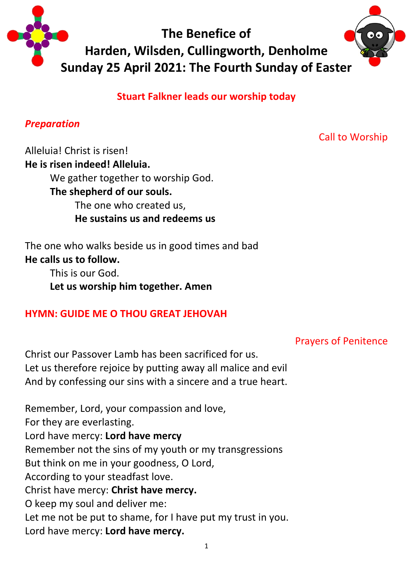

**Stuart Falkner leads our worship today**

## *Preparation*

Call to Worship

Alleluia! Christ is risen! **He is risen indeed! Alleluia.** We gather together to worship God. **The shepherd of our souls.**  The one who created us, **He sustains us and redeems us**

The one who walks beside us in good times and bad **He calls us to follow.** 

> This is our God. **Let us worship him together. Amen**

# **HYMN: GUIDE ME O THOU GREAT JEHOVAH**

# Prayers of Penitence

Christ our Passover Lamb has been sacrificed for us. Let us therefore rejoice by putting away all malice and evil And by confessing our sins with a sincere and a true heart.

Remember, Lord, your compassion and love, For they are everlasting. Lord have mercy: **Lord have mercy** Remember not the sins of my youth or my transgressions But think on me in your goodness, O Lord, According to your steadfast love. Christ have mercy: **Christ have mercy.** O keep my soul and deliver me: Let me not be put to shame, for I have put my trust in you. Lord have mercy: **Lord have mercy.**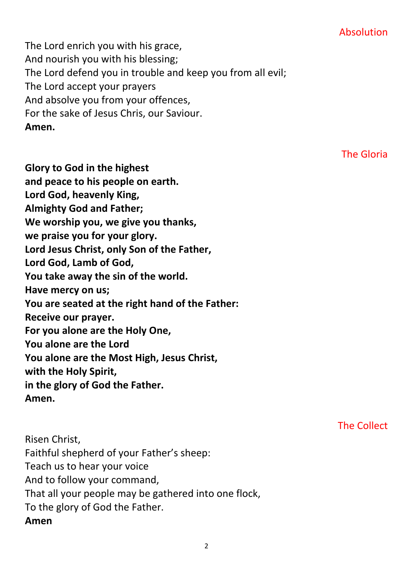## Absolution

The Lord enrich you with his grace, And nourish you with his blessing; The Lord defend you in trouble and keep you from all evil; The Lord accept your prayers And absolve you from your offences, For the sake of Jesus Chris, our Saviour. **Amen.**

The Gloria

The Collect

**Glory to God in the highest and peace to his people on earth. Lord God, heavenly King, Almighty God and Father; We worship you, we give you thanks, we praise you for your glory. Lord Jesus Christ, only Son of the Father, Lord God, Lamb of God, You take away the sin of the world. Have mercy on us; You are seated at the right hand of the Father: Receive our prayer. For you alone are the Holy One, You alone are the Lord You alone are the Most High, Jesus Christ, with the Holy Spirit, in the glory of God the Father. Amen.**

Risen Christ, Faithful shepherd of your Father's sheep: Teach us to hear your voice And to follow your command, That all your people may be gathered into one flock, To the glory of God the Father. **Amen**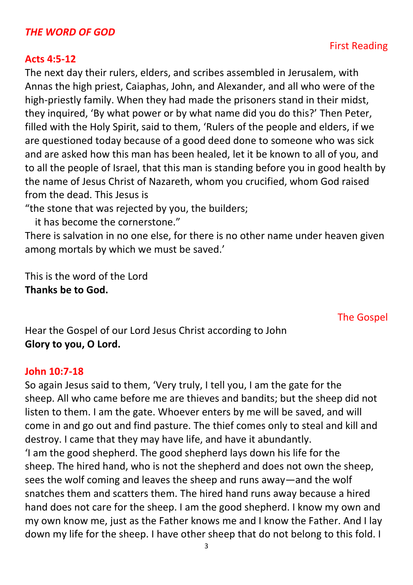### *THE WORD OF GOD*

#### **Acts 4:5-12**

The next day their rulers, elders, and scribes assembled in Jerusalem, with Annas the high priest, Caiaphas, John, and Alexander, and all who were of the high-priestly family. When they had made the prisoners stand in their midst, they inquired, 'By what power or by what name did you do this?' Then Peter, filled with the Holy Spirit, said to them, 'Rulers of the people and elders, if we are questioned today because of a good deed done to someone who was sick and are asked how this man has been healed, let it be known to all of you, and to all the people of Israel, that this man is standing before you in good health by the name of Jesus Christ of Nazareth, whom you crucified, whom God raised from the dead. This Jesus is

"the stone that was rejected by you, the builders;

it has become the cornerstone."

There is salvation in no one else, for there is no other name under heaven given among mortals by which we must be saved.'

This is the word of the Lord **Thanks be to God.**

The Gospel

Hear the Gospel of our Lord Jesus Christ according to John **Glory to you, O Lord.**

#### **John 10:7-18**

So again Jesus said to them, 'Very truly, I tell you, I am the gate for the sheep. All who came before me are thieves and bandits; but the sheep did not listen to them. I am the gate. Whoever enters by me will be saved, and will come in and go out and find pasture. The thief comes only to steal and kill and destroy. I came that they may have life, and have it abundantly. 'I am the good shepherd. The good shepherd lays down his life for the sheep. The hired hand, who is not the shepherd and does not own the sheep, sees the wolf coming and leaves the sheep and runs away—and the wolf snatches them and scatters them. The hired hand runs away because a hired hand does not care for the sheep. I am the good shepherd. I know my own and my own know me, just as the Father knows me and I know the Father. And I lay down my life for the sheep. I have other sheep that do not belong to this fold. I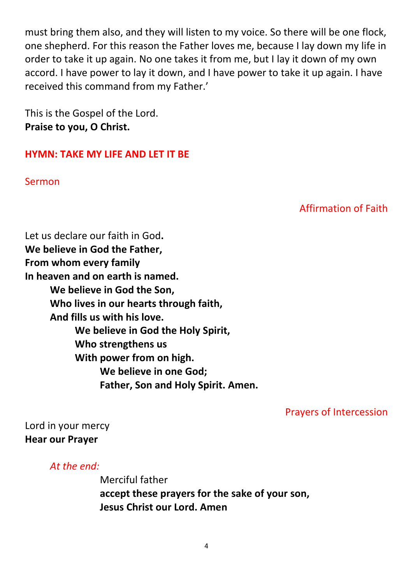must bring them also, and they will listen to my voice. So there will be one flock, one shepherd. For this reason the Father loves me, because I lay down my life in order to take it up again. No one takes it from me, but I lay it down of my own accord. I have power to lay it down, and I have power to take it up again. I have received this command from my Father.'

This is the Gospel of the Lord. **Praise to you, O Christ.**

### **HYMN: TAKE MY LIFE AND LET IT BE**

Sermon

Affirmation of Faith

Let us declare our faith in God**. We believe in God the Father, From whom every family In heaven and on earth is named. We believe in God the Son, Who lives in our hearts through faith, And fills us with his love. We believe in God the Holy Spirit, Who strengthens us With power from on high. We believe in one God; Father, Son and Holy Spirit. Amen.**

Prayers of Intercession

Lord in your mercy **Hear our Prayer**

*At the end:*

Merciful father **accept these prayers for the sake of your son, Jesus Christ our Lord. Amen**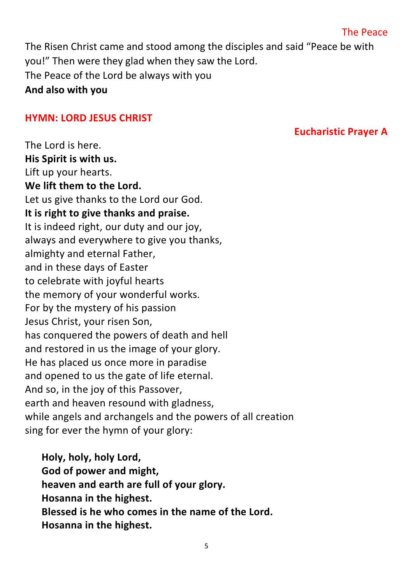### The Peace

**Eucharistic Prayer A**

The Risen Christ came and stood among the disciples and said "Peace be with you!" Then were they glad when they saw the Lord. The Peace of the Lord be always with you **And also with you**

#### **HYMN: LORD JESUS CHRIST**

The Lord is here. **His Spirit is with us.** Lift up your hearts. **We lift them to the Lord.** Let us give thanks to the Lord our God. **It is right to give thanks and praise.** It is indeed right, our duty and our joy, always and everywhere to give you thanks, almighty and eternal Father, and in these days of Easter to celebrate with joyful hearts the memory of your wonderful works. For by the mystery of his passion Jesus Christ, your risen Son, has conquered the powers of death and hell and restored in us the image of your glory. He has placed us once more in paradise and opened to us the gate of life eternal. And so, in the joy of this Passover, earth and heaven resound with gladness, while angels and archangels and the powers of all creation sing for ever the hymn of your glory:

**Holy, holy, holy Lord, God of power and might, heaven and earth are full of your glory. Hosanna in the highest. Blessed is he who comes in the name of the Lord. Hosanna in the highest.**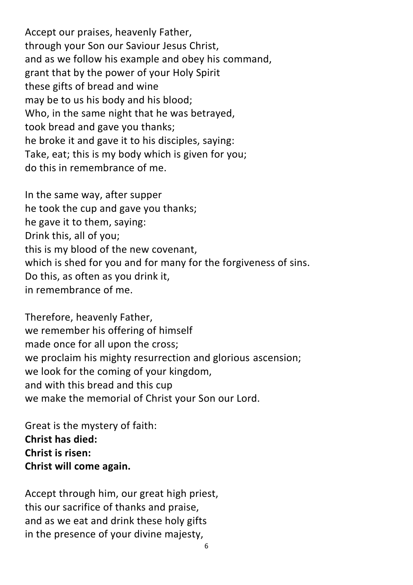Accept our praises, heavenly Father, through your Son our Saviour Jesus Christ, and as we follow his example and obey his command, grant that by the power of your Holy Spirit these gifts of bread and wine may be to us his body and his blood; Who, in the same night that he was betrayed, took bread and gave you thanks; he broke it and gave it to his disciples, saying: Take, eat; this is my body which is given for you; do this in remembrance of me.

In the same way, after supper he took the cup and gave you thanks; he gave it to them, saying: Drink this, all of you; this is my blood of the new covenant, which is shed for you and for many for the forgiveness of sins. Do this, as often as you drink it, in remembrance of me.

Therefore, heavenly Father, we remember his offering of himself made once for all upon the cross; we proclaim his mighty resurrection and glorious ascension; we look for the coming of your kingdom, and with this bread and this cup we make the memorial of Christ your Son our Lord.

Great is the mystery of faith: **Christ has died: Christ is risen: Christ will come again.**

Accept through him, our great high priest, this our sacrifice of thanks and praise, and as we eat and drink these holy gifts in the presence of your divine majesty,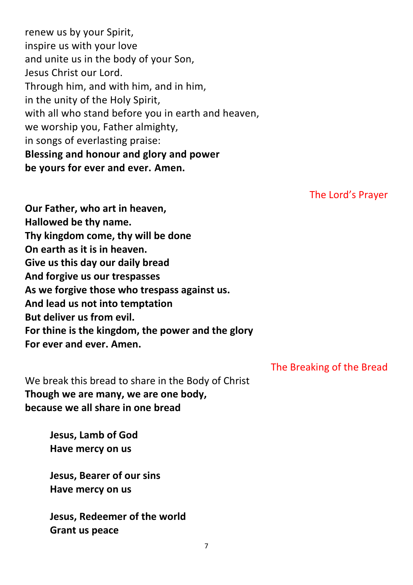renew us by your Spirit, inspire us with your love and unite us in the body of your Son, Jesus Christ our Lord. Through him, and with him, and in him, in the unity of the Holy Spirit, with all who stand before you in earth and heaven, we worship you, Father almighty, in songs of everlasting praise: **Blessing and honour and glory and power be yours for ever and ever. Amen.**

The Lord's Prayer

**Our Father, who art in heaven, Hallowed be thy name. Thy kingdom come, thy will be done On earth as it is in heaven. Give us this day our daily bread And forgive us our trespasses As we forgive those who trespass against us. And lead us not into temptation But deliver us from evil. For thine is the kingdom, the power and the glory For ever and ever. Amen.**

We break this bread to share in the Body of Christ **Though we are many, we are one body, because we all share in one bread**

> **Jesus, Lamb of God Have mercy on us**

**Jesus, Bearer of our sins Have mercy on us**

**Jesus, Redeemer of the world Grant us peace**

The Breaking of the Bread